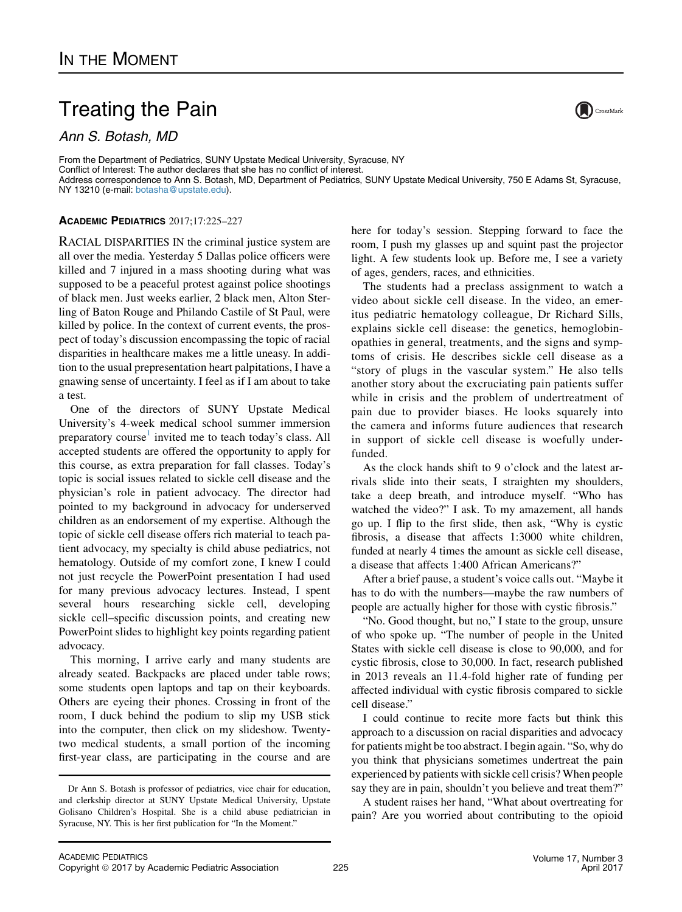## Treating the Pain

Ann S. Botash, MD

From the Department of Pediatrics, SUNY Upstate Medical University, Syracuse, NY Conflict of Interest: The author declares that she has no conflict of interest. Address correspondence to Ann S. Botash, MD, Department of Pediatrics, SUNY Upstate Medical University, 750 E Adams St, Syracuse, NY 13210 (e-mail: [botasha@upstate.edu](mailto:botasha@upstate.edu)).

## ACADEMIC PEDIATRICS 2017;17:225–227

RACIAL DISPARITIES IN the criminal justice system are all over the media. Yesterday 5 Dallas police officers were killed and 7 injured in a mass shooting during what was supposed to be a peaceful protest against police shootings of black men. Just weeks earlier, 2 black men, Alton Sterling of Baton Rouge and Philando Castile of St Paul, were killed by police. In the context of current events, the prospect of today's discussion encompassing the topic of racial disparities in healthcare makes me a little uneasy. In addition to the usual prepresentation heart palpitations, I have a gnawing sense of uncertainty. I feel as if I am about to take a test.

One of the directors of SUNY Upstate Medical University's 4-week medical school summer immersion preparatory course<sup>[1](#page-2-0)</sup> invited me to teach today's class. All accepted students are offered the opportunity to apply for this course, as extra preparation for fall classes. Today's topic is social issues related to sickle cell disease and the physician's role in patient advocacy. The director had pointed to my background in advocacy for underserved children as an endorsement of my expertise. Although the topic of sickle cell disease offers rich material to teach patient advocacy, my specialty is child abuse pediatrics, not hematology. Outside of my comfort zone, I knew I could not just recycle the PowerPoint presentation I had used for many previous advocacy lectures. Instead, I spent several hours researching sickle cell, developing sickle cell–specific discussion points, and creating new PowerPoint slides to highlight key points regarding patient advocacy.

This morning, I arrive early and many students are already seated. Backpacks are placed under table rows; some students open laptops and tap on their keyboards. Others are eyeing their phones. Crossing in front of the room, I duck behind the podium to slip my USB stick into the computer, then click on my slideshow. Twentytwo medical students, a small portion of the incoming first-year class, are participating in the course and are

here for today's session. Stepping forward to face the room, I push my glasses up and squint past the projector light. A few students look up. Before me, I see a variety of ages, genders, races, and ethnicities.

The students had a preclass assignment to watch a video about sickle cell disease. In the video, an emeritus pediatric hematology colleague, Dr Richard Sills, explains sickle cell disease: the genetics, hemoglobinopathies in general, treatments, and the signs and symptoms of crisis. He describes sickle cell disease as a "story of plugs in the vascular system." He also tells another story about the excruciating pain patients suffer while in crisis and the problem of undertreatment of pain due to provider biases. He looks squarely into the camera and informs future audiences that research in support of sickle cell disease is woefully underfunded.

As the clock hands shift to 9 o'clock and the latest arrivals slide into their seats, I straighten my shoulders, take a deep breath, and introduce myself. "Who has watched the video?" I ask. To my amazement, all hands go up. I flip to the first slide, then ask, "Why is cystic fibrosis, a disease that affects 1:3000 white children, funded at nearly 4 times the amount as sickle cell disease, a disease that affects 1:400 African Americans?"

After a brief pause, a student's voice calls out. "Maybe it has to do with the numbers—maybe the raw numbers of people are actually higher for those with cystic fibrosis."

"No. Good thought, but no," I state to the group, unsure of who spoke up. "The number of people in the United States with sickle cell disease is close to 90,000, and for cystic fibrosis, close to 30,000. In fact, research published in 2013 reveals an 11.4-fold higher rate of funding per affected individual with cystic fibrosis compared to sickle cell disease."

I could continue to recite more facts but think this approach to a discussion on racial disparities and advocacy for patients might be too abstract. I begin again. "So, why do you think that physicians sometimes undertreat the pain experienced by patients with sickle cell crisis? When people say they are in pain, shouldn't you believe and treat them?"

A student raises her hand, "What about overtreating for pain? Are you worried about contributing to the opioid



Dr Ann S. Botash is professor of pediatrics, vice chair for education, and clerkship director at SUNY Upstate Medical University, Upstate Golisano Children's Hospital. She is a child abuse pediatrician in Syracuse, NY. This is her first publication for "In the Moment."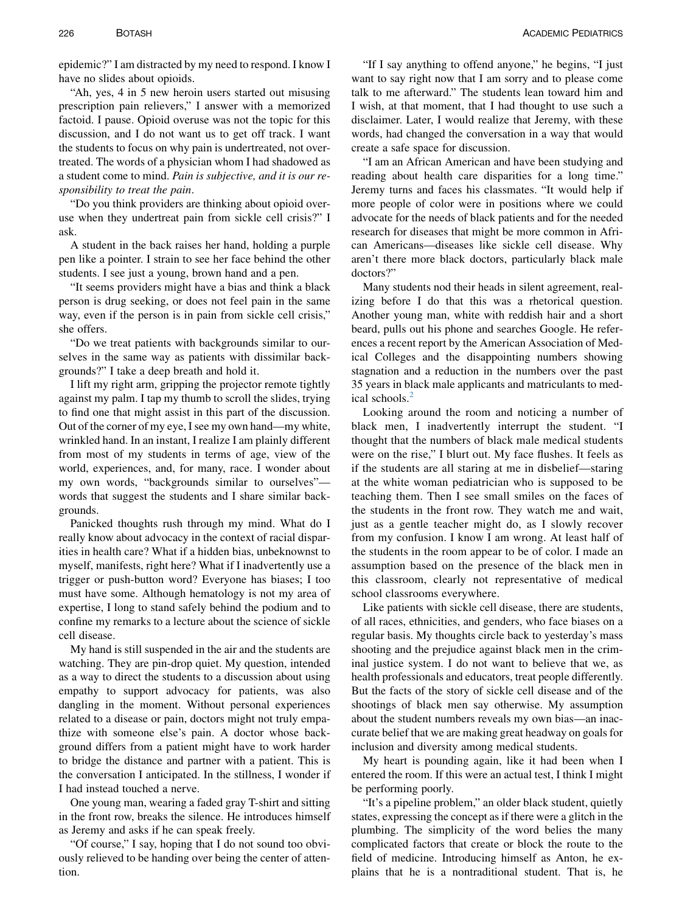epidemic?" I am distracted by my need to respond. I know I have no slides about opioids.

"Ah, yes, 4 in 5 new heroin users started out misusing prescription pain relievers," I answer with a memorized factoid. I pause. Opioid overuse was not the topic for this discussion, and I do not want us to get off track. I want the students to focus on why pain is undertreated, not overtreated. The words of a physician whom I had shadowed as a student come to mind. Pain is subjective, and it is our responsibility to treat the pain.

"Do you think providers are thinking about opioid overuse when they undertreat pain from sickle cell crisis?" I ask.

A student in the back raises her hand, holding a purple pen like a pointer. I strain to see her face behind the other students. I see just a young, brown hand and a pen.

"It seems providers might have a bias and think a black person is drug seeking, or does not feel pain in the same way, even if the person is in pain from sickle cell crisis," she offers.

"Do we treat patients with backgrounds similar to ourselves in the same way as patients with dissimilar backgrounds?" I take a deep breath and hold it.

I lift my right arm, gripping the projector remote tightly against my palm. I tap my thumb to scroll the slides, trying to find one that might assist in this part of the discussion. Out of the corner of my eye, I see my own hand—my white, wrinkled hand. In an instant, I realize I am plainly different from most of my students in terms of age, view of the world, experiences, and, for many, race. I wonder about my own words, "backgrounds similar to ourselves" words that suggest the students and I share similar backgrounds.

Panicked thoughts rush through my mind. What do I really know about advocacy in the context of racial disparities in health care? What if a hidden bias, unbeknownst to myself, manifests, right here? What if I inadvertently use a trigger or push-button word? Everyone has biases; I too must have some. Although hematology is not my area of expertise, I long to stand safely behind the podium and to confine my remarks to a lecture about the science of sickle cell disease.

My hand is still suspended in the air and the students are watching. They are pin-drop quiet. My question, intended as a way to direct the students to a discussion about using empathy to support advocacy for patients, was also dangling in the moment. Without personal experiences related to a disease or pain, doctors might not truly empathize with someone else's pain. A doctor whose background differs from a patient might have to work harder to bridge the distance and partner with a patient. This is the conversation I anticipated. In the stillness, I wonder if I had instead touched a nerve.

One young man, wearing a faded gray T-shirt and sitting in the front row, breaks the silence. He introduces himself as Jeremy and asks if he can speak freely.

"Of course," I say, hoping that I do not sound too obviously relieved to be handing over being the center of attention.

"If I say anything to offend anyone," he begins, "I just want to say right now that I am sorry and to please come talk to me afterward." The students lean toward him and I wish, at that moment, that I had thought to use such a disclaimer. Later, I would realize that Jeremy, with these words, had changed the conversation in a way that would create a safe space for discussion.

"I am an African American and have been studying and reading about health care disparities for a long time." Jeremy turns and faces his classmates. "It would help if more people of color were in positions where we could advocate for the needs of black patients and for the needed research for diseases that might be more common in African Americans—diseases like sickle cell disease. Why aren't there more black doctors, particularly black male doctors?"

Many students nod their heads in silent agreement, realizing before I do that this was a rhetorical question. Another young man, white with reddish hair and a short beard, pulls out his phone and searches Google. He references a recent report by the American Association of Medical Colleges and the disappointing numbers showing stagnation and a reduction in the numbers over the past 35 years in black male applicants and matriculants to med-ical schools.<sup>[2](#page-2-0)</sup>

Looking around the room and noticing a number of black men, I inadvertently interrupt the student. "I thought that the numbers of black male medical students were on the rise," I blurt out. My face flushes. It feels as if the students are all staring at me in disbelief—staring at the white woman pediatrician who is supposed to be teaching them. Then I see small smiles on the faces of the students in the front row. They watch me and wait, just as a gentle teacher might do, as I slowly recover from my confusion. I know I am wrong. At least half of the students in the room appear to be of color. I made an assumption based on the presence of the black men in this classroom, clearly not representative of medical school classrooms everywhere.

Like patients with sickle cell disease, there are students, of all races, ethnicities, and genders, who face biases on a regular basis. My thoughts circle back to yesterday's mass shooting and the prejudice against black men in the criminal justice system. I do not want to believe that we, as health professionals and educators, treat people differently. But the facts of the story of sickle cell disease and of the shootings of black men say otherwise. My assumption about the student numbers reveals my own bias—an inaccurate belief that we are making great headway on goals for inclusion and diversity among medical students.

My heart is pounding again, like it had been when I entered the room. If this were an actual test, I think I might be performing poorly.

"It's a pipeline problem," an older black student, quietly states, expressing the concept as if there were a glitch in the plumbing. The simplicity of the word belies the many complicated factors that create or block the route to the field of medicine. Introducing himself as Anton, he explains that he is a nontraditional student. That is, he